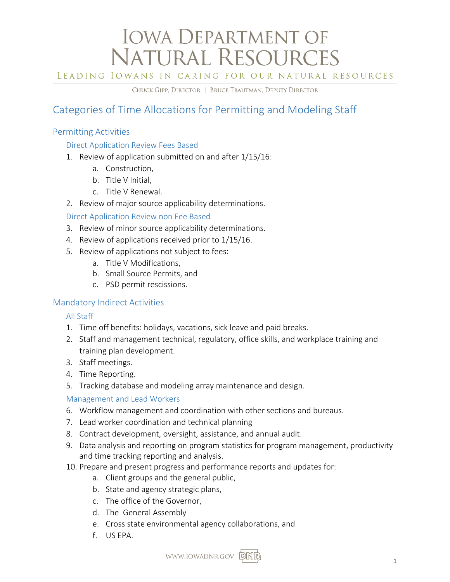# **IOWA DEPARTMENT OF** NATURAL RESOURCES

LEADING IOWANS IN CARING FOR OUR NATURAL RESOURCES

CHUCK GIPP, DIRECTOR | BRUCE TRAUTMAN, DEPUTY DIRECTOR

# Categories of Time Allocations for Permitting and Modeling Staff

# Permitting Activities

#### Direct Application Review Fees Based

- 1. Review of application submitted on and after 1/15/16:
	- a. Construction,
	- b. Title V Initial,
	- c. Title V Renewal.
- 2. Review of major source applicability determinations.

### Direct Application Review non Fee Based

- 3. Review of minor source applicability determinations.
- 4. Review of applications received prior to 1/15/16.
- 5. Review of applications not subject to fees:
	- a. Title V Modifications,
	- b. Small Source Permits, and
	- c. PSD permit rescissions.

# Mandatory Indirect Activities

#### All Staff

- 1. Time off benefits: holidays, vacations, sick leave and paid breaks.
- 2. Staff and management technical, regulatory, office skills, and workplace training and training plan development.
- 3. Staff meetings.
- 4. Time Reporting.
- 5. Tracking database and modeling array maintenance and design.

# Management and Lead Workers

- 6. Workflow management and coordination with other sections and bureaus.
- 7. Lead worker coordination and technical planning
- 8. Contract development, oversight, assistance, and annual audit.
- 9. Data analysis and reporting on program statistics for program management, productivity and time tracking reporting and analysis.
- 10. Prepare and present progress and performance reports and updates for:
	- a. Client groups and the general public,
	- b. State and agency strategic plans,
	- c. The office of the Governor,
	- d. The General Assembly
	- e. Cross state environmental agency collaborations, and
	- f. US EPA.